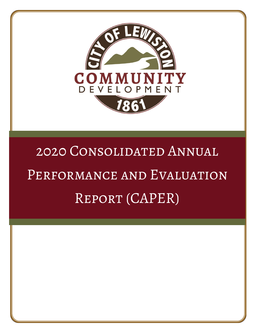

# 2020 Consolidated Annual PERFORMANCE AND EVALUATION Report (CAPER)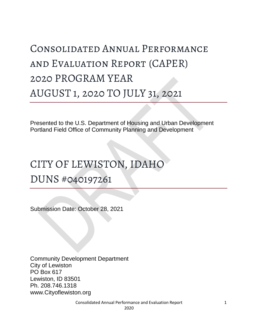# Consolidated Annual Performance and Evaluation Report (CAPER) 2020 PROGRAM YEAR AUGUST 1, 2020 TO JULY 31, 2021

Presented to the U.S. Department of Housing and Urban Development Portland Field Office of Community Planning and Development

# CITY OF LEWISTON, IDAHO

DUNS #040197261

Submission Date: October 28, 2021

Community Development Department City of Lewiston PO Box 617 Lewiston, ID 83501 Ph. 208.746.1318 www.Cityoflewiston.org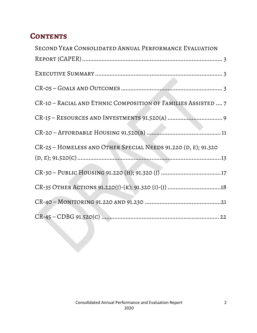# **CONTENTS**

| SECOND YEAR CONSOLIDATED ANNUAL PERFORMANCE EVALUATION         |
|----------------------------------------------------------------|
|                                                                |
|                                                                |
|                                                                |
| CR-10 - RACIAL AND ETHNIC COMPOSITION OF FAMILIES ASSISTED  7  |
|                                                                |
|                                                                |
| CR-25 - HOMELESS AND OTHER SPECIAL NEEDS 91.220 (D, E); 91.320 |
|                                                                |
| CR-30 - PUBLIC HOUSING 91.220 (H); 91.320 (J) 17               |
| CR-35 OTHER ACTIONS 91.220(J)-(K); 91.320 (I)-(J) 18           |
|                                                                |
|                                                                |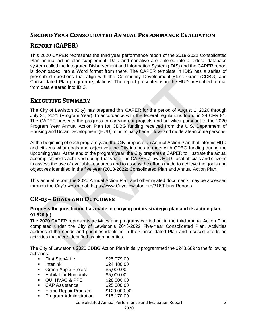# <span id="page-3-0"></span>**Second Year Consolidated Annual Performance Evaluation**

# **Report (CAPER)**

This 2020 CAPER represents the third year performance report of the 2018-2022 Consolidated Plan annual action plan supplement. Data and narrative are entered into a federal database system called the Integrated Disbursement and Information System (IDIS) and the CAPER report is downloaded into a Word format from there. The CAPER template in IDIS has a series of prescribed questions that align with the Community Development Block Grant (CDBG) and Consolidated Plan program regulations. The report presented is in the HUD-prescribed format from data entered into IDIS.

# <span id="page-3-1"></span>**Executive Summary**

The City of Lewiston (City) has prepared this CAPER for the period of August 1, 2020 through July 31, 2021 (Program Year). In accordance with the federal regulations found in 24 CFR 91. The CAPER presents the progress in carrying out projects and activities pursuant to the 2020 Program Year Annual Action Plan for CDBG funding received from the U.S. Department of Housing and Urban Development (HUD) to principally benefit low- and moderate-income persons.

At the beginning of each program year, the City prepares an Annual Action Plan that informs HUD and citizens what goals and objectives the City intends to meet with CDBG funding during the upcoming year. At the end of the program year, the City prepares a CAPER to illustrate the actual accomplishments achieved during that year. The CAPER allows HUD, local officials and citizens to assess the use of available resources and to assess the efforts made to achieve the goals and objectives identified in the five year (2018-2022) Consolidated Plan and Annual Action Plan.

This annual report, the 2020 Annual Action Plan and other related documents may be accessed through the City's website at: https://www.Cityoflewiston.org/316/Plans-Reports

# <span id="page-3-2"></span>**CR-05 – Goals and Outcomes**

### **Progress the jurisdiction has made in carrying out its strategic plan and its action plan. 91.520 (a)**

The 2020 CAPER represents activities and programs carried out in the third Annual Action Plan completed under the City of Lewiston's 2018-2022 Five-Year Consolidated Plan. Activities addressed the needs and priorities identified in the Consolidated Plan and focused efforts on activities that were identified as high priorities.

The City of Lewiston's 2020 CDBG Action Plan initially programmed the \$248,689 to the following activities:

- First Step4Life \$25,979.00
- **Interlink** \$24,480.00
- Green Apple Project \$5,000.00
- Habitat for Humanity \$5,000.00
- OUI HVAC & PPE \$28,000.00
- CAP Assistance \$25,000.00
- Home Repair Program \$120,000.00
- **Program Administration \$15,170.00**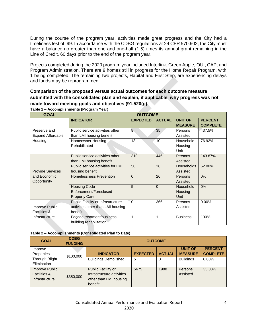During the course of the program year, activities made great progress and the City had a timeliness test of .99. In accordance with the CDBG regulations at 24 CFR 570.902, the City must have a balance no greater than one and one-half (1.5) times its annual grant remaining in the Line of Credit, 60 days prior to the end of the program year.

Projects completed during the 2020 program year included Interlink, Green Apple, OUI, CAP, and Program Administration. There are 9 homes still in progress for the Home Repair Program, with 1 being completed. The remaining two projects, Habitat and First Step, are experiencing delays and funds may be reprogrammed.

# **Comparison of the proposed versus actual outcomes for each outcome measure submitted with the consolidated plan and explain, if applicable, why progress was not made toward meeting goals and objectives (91.520(g).**

| <b>GOAL</b>              | <b>OUTCOME</b>                    |                 |               |                                  |                                   |
|--------------------------|-----------------------------------|-----------------|---------------|----------------------------------|-----------------------------------|
|                          | <b>INDICATOR</b>                  | <b>EXPECTED</b> | <b>ACTUAL</b> | <b>UNIT OF</b><br><b>MEASURE</b> | <b>PERCENT</b><br><b>COMPLETE</b> |
| Preserve and             | Public service activities other   | $\overline{8}$  | 35            | Persons                          | 437.5%                            |
| <b>Expand Affordable</b> | than LMI housing benefit          |                 |               | Assisted                         |                                   |
| Housing                  | Homeowner Housing                 | 13              | 10            | Household                        | 76.92%                            |
|                          | Rehabilitated                     |                 |               | Housing                          |                                   |
|                          |                                   |                 |               | Unit                             |                                   |
|                          | Public service activities other   | 310             | 446           | Persons                          | 143.87%                           |
|                          | than LMI housing benefit          |                 |               | Assisted                         |                                   |
|                          | Public service activities for LMI | 50              | 26            | <b>Households</b>                | 52.00%                            |
| <b>Provide Services</b>  | housing benefit                   |                 |               | Assisted                         |                                   |
| and Economic             | <b>Homelessness Prevention</b>    | $\Omega$        | 26            | Persons                          | 0%                                |
| Opportunity              |                                   |                 |               | Assisted                         |                                   |
|                          | <b>Housing Code</b>               | 5               | $\Omega$      | Household                        | 0%                                |
|                          | Enforcement/Foreclosed            |                 |               | Housing                          |                                   |
|                          | <b>Property Care</b>              |                 |               | Unit                             |                                   |
|                          | Public Facility or Infrastructure | $\Omega$        | 366           | Persons                          | $0.00\%$                          |
| Improve Public           | activities other than LMI housing |                 |               | Assisted                         |                                   |
| <b>Facilities &amp;</b>  | benefit                           |                 |               |                                  |                                   |
| Infrastructure           | Façade treatment/business         | 1               | 1             | <b>Business</b>                  | 100%                              |
|                          | building rehabilitation           |                 |               |                                  |                                   |

**Table 1 – Accomplishments (Program Year)**

#### **Table 2 – Accomplishments (Consolidated Plan to Date)**

| <b>GOAL</b>                                                 | <b>CDBG</b><br><b>FUNDING</b> | <b>OUTCOME</b>                                                                       |                 |               |                                  |                                   |
|-------------------------------------------------------------|-------------------------------|--------------------------------------------------------------------------------------|-----------------|---------------|----------------------------------|-----------------------------------|
| Improve<br>Properties                                       | \$100,000                     | <b>INDICATOR</b>                                                                     | <b>EXPECTED</b> | <b>ACTUAL</b> | <b>UNIT OF</b><br><b>MEASURE</b> | <b>PERCENT</b><br><b>COMPLETE</b> |
| Through Blight<br>Elimination                               |                               | <b>Buildings Demolished</b>                                                          | 5               | 0             | <b>Buildings</b>                 | $0.00\%$                          |
| Improve Public<br><b>Facilities &amp;</b><br>Infrastructure | \$350,000                     | Public Facility or<br>Infrastructure activities<br>other than LMI housing<br>benefit | 5675            | 1988          | Persons<br>Assisted              | 35.03%                            |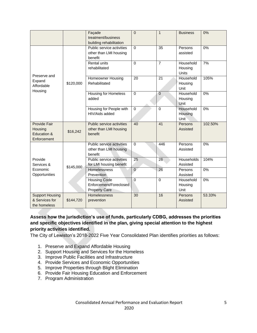|                                                          |           | Façade<br>treatment/business<br>building rehabilitation               | $\Omega$        | $\mathbf{1}$    | <b>Business</b>                           | 0%      |
|----------------------------------------------------------|-----------|-----------------------------------------------------------------------|-----------------|-----------------|-------------------------------------------|---------|
|                                                          | \$120,000 | Public service activities<br>other than LMI housing<br>benefit        | $\Omega$        | $\overline{35}$ | Persons<br>assisted                       | 0%      |
| Preserve and                                             |           | <b>Rental units</b><br>rehabilitated                                  | $\Omega$        | $\overline{7}$  | Household<br>Housing<br>Units             | 7%      |
| Expand<br>Affordable<br>Housing                          |           | <b>Homeowner Housing</b><br>Rehabilitated                             | $\overline{20}$ | $\overline{21}$ | Household<br>Housing<br>Unit              | 105%    |
|                                                          |           | <b>Housing for Homeless</b><br>added                                  | $\mathbf 0$     | $\overline{0}$  | Household<br>Housing<br>Unit              | 0%      |
|                                                          |           | Housing for People with<br>HIV/Aids added                             | $\Omega$        | $\Omega$        | Household<br>Housing<br>Unit <sup>1</sup> | 0%      |
| Provide Fair<br>Housing<br>Education &<br>Enforcement    | \$16,242  | Public service activities<br>other than LMI housing<br>benefit        | 40              | 41              | Persons<br>Assisted                       | 102.50% |
|                                                          |           | Public service activities<br>other than LMI housing<br>benefit        | $\mathbf 0$     | 446             | Persons<br>Assisted                       | 0%      |
| Provide<br>Services &                                    | \$145,000 | Public service activities<br>for LMI housing benefit                  | $\overline{25}$ | 26              | Households<br>Assisted                    | 104%    |
| Economic<br>Opportunities                                |           | <b>Homelessness</b><br>Prevention                                     | $\Omega$        | 26              | Persons<br>Assisted                       | 0%      |
|                                                          |           | <b>Housing Code</b><br>Enforcement/Foreclosed<br><b>Property Care</b> | $\Omega$        | $\Omega$        | Household<br>Housing<br>Unit              | 0%      |
| <b>Support Housing</b><br>& Services for<br>the homeless | \$144,720 | <b>Homelessness</b><br>prevention                                     | $\overline{30}$ | 16              | Persons<br>Assisted                       | 53.33%  |

# **Assess how the jurisdiction's use of funds, particularly CDBG, addresses the priorities and specific objectives identified in the plan, giving special attention to the highest priority activities identified.**

The City of Lewiston's 2018-2022 Five Year Consolidated Plan identifies priorities as follows:

- 1. Preserve and Expand Affordable Housing
- 2. Support Housing and Services for the Homeless
- 3. Improve Public Facilities and Infrastructure
- 4. Provide Services and Economic Opportunities
- 5. Improve Properties through Blight Elimination
- 6. Provide Fair Housing Education and Enforcement
- 7. Program Administration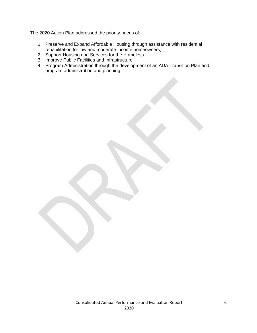The 2020 Action Plan addressed the priority needs of:

- 1. Preserve and Expand Affordable Housing through assistance with residential rehabilitation for low and moderate income homeowners;
- 2. Support Housing and Services for the Homeless
- 3. Improve Public Facilities and Infrastructure
- 4. Program Administration through the development of an ADA Transition Plan and program administration and planning.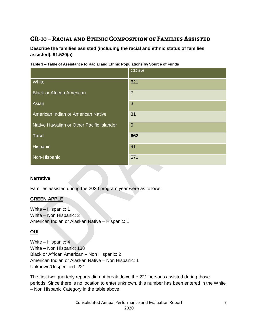# <span id="page-7-0"></span>**CR-10 – Racial and Ethnic Composition of Families Assisted**

**Describe the families assisted (including the racial and ethnic status of families assisted). 91.520(a)**

|                                           | <b>CDBG</b>    |
|-------------------------------------------|----------------|
| White                                     | 621            |
| <b>Black or African American</b>          | $\overline{7}$ |
| Asian                                     | 3              |
| American Indian or American Native        | 31             |
| Native Hawaiian or Other Pacific Islander | $\overline{0}$ |
| <b>Total</b>                              | 662            |
| Hispanic                                  | 91             |
| Non-Hispanic                              | 571            |

**Table 3 – Table of Assistance to Racial and Ethnic Populations by Source of Funds**

### **Narrative**

Families assisted during the 2020 program year were as follows:

# **GREEN APPLE**

White – Hispanic: 1 White – Non Hispanic: 3 American Indian or Alaskan Native – Hispanic: 1

# **OUI**

White – Hispanic: 4 White – Non Hispanic: 138 Black or African American – Non Hispanic: 2 American Indian or Alaskan Native – Non Hispanic: 1 Unknown/Unspecified: 221

The first two quarterly reports did not break down the 221 persons assisted during those periods. Since there is no location to enter unknown, this number has been entered in the White – Non Hispanic Category in the table above.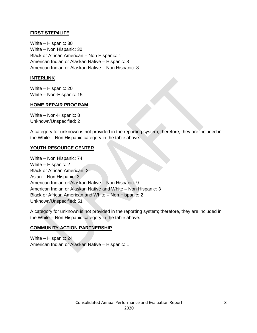# **FIRST STEP4LIFE**

White – Hispanic: 30 White – Non Hispanic: 30 Black or African American – Non Hispanic: 1 American Indian or Alaskan Native – Hispanic: 8 American Indian or Alaskan Native – Non Hispanic: 8

# **INTERLINK**

White – Hispanic: 20 White – Non-Hispanic: 15

### **HOME REPAIR PROGRAM**

White – Non-Hispanic: 8 Unknown/Unspecified: 2

A category for unknown is not provided in the reporting system; therefore, they are included in the White – Non Hispanic category in the table above.

# **YOUTH RESOURCE CENTER**

White – Non Hispanic: 74 White – Hispanic: 2 Black or African American: 2 Asian – Non Hispanic: 3 American Indian or Alaskan Native – Non Hispanic: 9 American Indian or Alaskan Native and White – Non Hispanic: 3 Black or African American and White – Non Hispanic: 2 Unknown/Unspecified: 51

A category for unknown is not provided in the reporting system; therefore, they are included in the White – Non Hispanic category in the table above.

### **COMMUNITY ACTION PARTNERSHIP**

<span id="page-8-0"></span>White – Hispanic: 24 American Indian or Alaskan Native – Hispanic: 1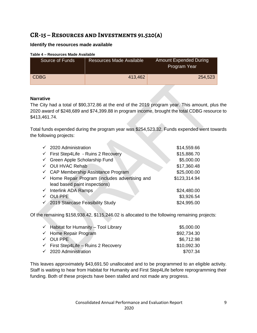# **CR-15 – Resources and Investments 91.520(a)**

# **Identify the resources made available**

#### **Table 4 – Resources Made Available**

| Source of Funds | <b>Resources Made Available</b> | <b>Amount Expended During</b><br>Program Year |
|-----------------|---------------------------------|-----------------------------------------------|
| <b>CDBG</b>     | 413,462                         | 254,523                                       |

# **Narrative**

The City had a total of \$90,372.86 at the end of the 2019 program year. This amount, plus the 2020 award of \$248,689 and \$74,399.88 in program income, brought the total CDBG resource to \$413,461.74.

Total funds expended during the program year was \$254,523.32. Funds expended went towards the following projects:

| $\times$ 2020 Administration                               | \$14,559.66  |
|------------------------------------------------------------|--------------|
| ← First Step4Life - Ruins 2 Recovery                       | \$15,886.70  |
| Green Apple Scholarship Fund                               | \$5,000.00   |
| √ OUI HVAC Rehab                                           | \$17,360.48  |
| ← CAP Membership Assistance Program                        | \$25,000.00  |
| $\checkmark$ Home Repair Program (includes advertising and | \$123,314.94 |
| lead based paint inspections)                              |              |
| $\checkmark$ Interlink ADA Ramps                           | \$24,480.00  |
| √ OUI PPE                                                  | \$3,926.54   |
| √ 2019 Staircase Feasibility Study                         | \$24,995.00  |

Of the remaining \$158,938.42, \$115,246.02 is allocated to the following remaining projects:

| $\checkmark$ Habitat for Humanity – Tool Library | \$5,000.00  |
|--------------------------------------------------|-------------|
| $\checkmark$ Home Repair Program                 | \$92,734.30 |
| $\checkmark$ OUI PPE                             | \$6,712.98  |
| $\checkmark$ First Step4Life – Ruins 2 Recovery  | \$10,092.30 |
| $\checkmark$ 2020 Administration                 | \$707.34    |

This leaves approximately \$43,691.50 unallocated and to be programmed to an eligible activity. Staff is waiting to hear from Habitat for Humanity and First Step4Life before reprogramming their funding. Both of these projects have been stalled and not made any progress.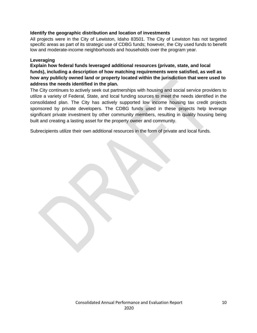# **Identify the geographic distribution and location of investments**

All projects were in the City of Lewiston, Idaho 83501. The City of Lewiston has not targeted specific areas as part of its strategic use of CDBG funds; however, the City used funds to benefit low and moderate-income neighborhoods and households over the program year.

#### **Leveraging**

**Explain how federal funds leveraged additional resources (private, state, and local funds), including a description of how matching requirements were satisfied, as well as how any publicly owned land or property located within the jurisdiction that were used to address the needs identified in the plan.**

The City continues to actively seek out partnerships with housing and social service providers to utilize a variety of Federal, State, and local funding sources to meet the needs identified in the consolidated plan. The City has actively supported low income housing tax credit projects sponsored by private developers. The CDBG funds used in these projects help leverage significant private investment by other community members, resulting in quality housing being built and creating a lasting asset for the property owner and community.

Subrecipients utilize their own additional resources in the form of private and local funds.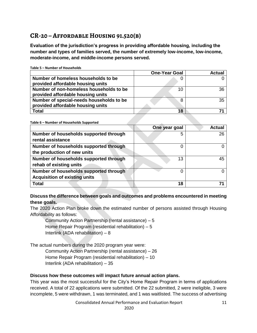# <span id="page-11-0"></span>**CR-20 – Affordable Housing 91.520(b)**

**Evaluation of the jurisdiction's progress in providing affordable housing, including the number and types of families served, the number of extremely low-income, low-income, moderate-income, and middle-income persons served.**

|                                                                               | <b>One-Year Goal</b> | <b>Actual</b> |
|-------------------------------------------------------------------------------|----------------------|---------------|
| Number of homeless households to be<br>provided affordable housing units      |                      |               |
| Number of non-homeless households to be<br>provided affordable housing units  | 10                   | 36            |
| Number of special-needs households to be<br>provided affordable housing units | 8                    | 35            |
| <b>Total</b>                                                                  | 18                   |               |

**Table 5 – Number of Households**

**Table 6 – Number of Households Supported**

|                                        | One year goal | Actual |
|----------------------------------------|---------------|--------|
| Number of households supported through | 5             | 26     |
| rental assistance                      |               |        |
| Number of households supported through |               |        |
| the production of new units            |               |        |
| Number of households supported through | 13            | 45     |
| rehab of existing units                |               |        |
| Number of households supported through |               |        |
| <b>Acquisition of existing units</b>   |               |        |
| Total                                  | 18            |        |

# **Discuss the difference between goals and outcomes and problems encountered in meeting these goals.**

The 2020 Action Plan broke down the estimated number of persons assisted through Housing Affordability as follows:

Community Action Partnership (rental assistance) – 5 Home Repair Program (residential rehabilitation) – 5 Interlink (ADA rehabilitation) – 8

The actual numbers during the 2020 program year were:

Community Action Partnership (rental assistance) – 26 Home Repair Program (residential rehabilitation) – 10 Interlink (ADA rehabilitation) – 35

### **Discuss how these outcomes will impact future annual action plans.**

This year was the most successful for the City's Home Repair Program in terms of applications received. A total of 22 applications were submitted. Of the 22 submitted, 2 were ineligible, 3 were incomplete, 5 were withdrawn, 1 was terminated, and 1 was waitlisted. The success of advertising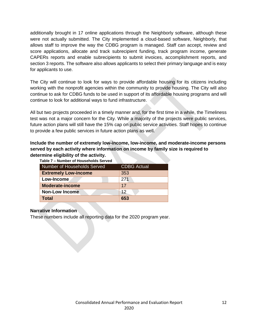additionally brought in 17 online applications through the Neighborly software, although these were not actually submitted. The City implemented a cloud-based software, Neighborly, that allows staff to improve the way the CDBG program is managed. Staff can accept, review and score applications, allocate and track subrecipient funding, track program income, generate CAPERs reports and enable subrecipients to submit invoices, accomplishment reports, and section 3 reports. The software also allows applicants to select their primary language and is easy for applicants to use.

The City will continue to look for ways to provide affordable housing for its citizens including working with the nonprofit agencies within the community to provide housing. The City will also continue to ask for CDBG funds to be used in support of its affordable housing programs and will continue to look for additional ways to fund infrastructure.

All but two projects proceeded in a timely manner and, for the first time in a while, the Timeliness test was not a major concern for the City. While a majority of the projects were public services, future action plans will still have the 15% cap on public service activities. Staff hopes to continue to provide a few public services in future action plans as well.

# **Include the number of extremely low-income, low-income, and moderate-income persons served by each activity where information on income by family size is required to determine eligibility of the activity.**

| Table 7 - Number of Housenolds Served |                    |
|---------------------------------------|--------------------|
| Number of Households Served           | <b>CDBG Actual</b> |
| <b>Extremely Low-income</b>           | 353                |
| Low-Income                            | 271                |
| <b>Moderate-income</b>                | 17                 |
| <b>Non-Low Income</b>                 | 12                 |
| <b>Total</b>                          | 653                |

# **Table 7 – Number of Households Served**

### **Narrative Information**

These numbers include all reporting data for the 2020 program year.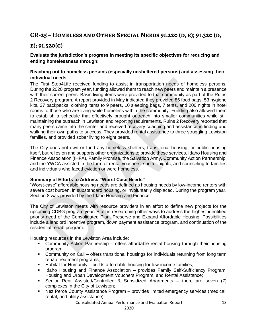# <span id="page-13-0"></span>**CR-25 – Homeless and Other Special Needs 91.220 (d, e); 91.320 (d,**

# **e); 91.520(c)**

# **Evaluate the jurisdiction's progress in meeting its specific objectives for reducing and ending homelessness through:**

# **Reaching out to homeless persons (especially unsheltered persons) and assessing their individual needs**

The First Step4Life received funding to assist in transportation needs of homeless persons. During the 2020 program year, funding allowed them to reach new peers and maintain a presence with their current peers. Basic living items were provided to that community as part of the Ruins 2 Recovery program. A report provided in May indicated they provided 86 food bags, 53 hygiene kits, 37 backpacks, clothing items to 9 peers, 10 sleeping bags, 7 tents, and 200 nights in hotel rooms to those who are living while homeless within the community. Funding also allowed them to establish a schedule that effectively brought outreach into smaller communities while still maintaining the outreach in Lewiston and reporting requirements. Ruins 2 Recovery reported that many peers came into the center and received recovery coaching and assistance in finding and walking their own paths to success. They provided rental assistance to three struggling Lewiston families, and provided sober living to eight peers.

The City does not own or fund any homeless shelters, transitional housing, or public housing itself, but relies on and supports other organizations to provide these services. Idaho Housing and Finance Association (IHFA), Family Promise, the Salvation Army, Community Action Partnership, and the YWCA assisted in the form of rental vouchers, shelter nights, and counseling to families and individuals who faced eviction or were homeless.

### **Summary of Efforts to Address "Worst Case Needs"**

"Worst-case" affordable housing needs are defined as housing needs by low-income renters with severe cost burden, in substandard housing, or involuntarily displaced. During the program year, Section 8 was provided by the Idaho Housing and Finance.

The City of Lewiston meets with resource providers in an effort to define new projects for the upcoming CDBG program year. Staff is researching other ways to address the highest identified priority need of the Consolidated Plan, Preserve and Expand Affordable Housing. Possibilities include a landlord incentive program, down payment assistance program, and continuation of the residential rehab program.

Housing resources in the Lewiston Area include:

- Community Action Partnership offers affordable rental housing through their housing program;
- Community on Call offers transitional housings for individuals returning from long term rehab treatment programs;
- Habitat for Humanity builds affordable housing for low-income families;
- **If Idaho Housing and Finance Association provides Family Self-Sufficiency Program,** Housing and Urban Development Vouchers Program, and Rental Assistance;
- Senior Rent Assisted/Controlled & Subsidized Apartments there are seven (7) complexes in the City of Lewiston;
- Nez Perce County Assistance Program provides limited emergency services (medical, rental, and utility assistance);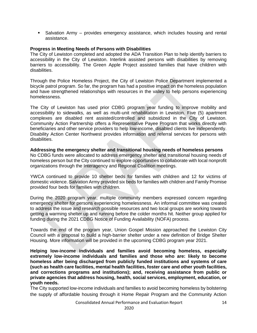Salvation Army – provides emergency assistance, which includes housing and rental assistance.

#### **Progress in Meeting Needs of Persons with Disabilities**

The City of Lewiston completed and adopted the ADA Transition Plan to help identify barriers to accessibility in the City of Lewiston. Interlink assisted persons with disabilities by removing barriers to accessibility. The Green Apple Project assisted families that have children with disabilities.

Through the Police Homeless Project, the City of Lewiston Police Department implemented a bicycle patrol program. So far, the program has had a positive impact on the homeless population and have strengthened relationships with resources in the valley to help persons experiencing homelessness.

The City of Lewiston has used prior CDBG program year funding to improve mobility and accessibility to sidewalks, as well as multi-unit rehabilitation in Lewiston. Five (5) apartment complexes are disabled rent assisted/controlled and subsidized in the City of Lewiston. Community Action Partnership offers a Representative Payee Program that works directly with beneficiaries and other service providers to help low-income, disabled clients live independently. Disability Action Center Northwest provides information and referral services for persons with disabilities.

**Addressing the emergency shelter and transitional housing needs of homeless persons** No CDBG funds were allocated to address emergency shelter and transitional housing needs of homeless person but the City continued to explore opportunities to collaborate with local nonprofit organizations through the Interagency and Regional Coalition meetings.

YWCA continued to provide 10 shelter beds for families with children and 12 for victims of domestic violence. Salvation Army provided six beds for families with children and Family Promise provided four beds for families with children.

During the 2020 program year, multiple community members expressed concern regarding emergency shelter for persons experiencing homelessness. An informal committee was created to address the issue and research possible resources and two local groups are working towards getting a warming shelter up and running before the colder months hit. Neither group applied for funding during the 2021 CDBG Notice of Funding Availability (NOFA) process.

Towards the end of the program year, Union Gospel Mission approached the Lewiston City Council with a proposal to build a high-barrier shelter under a new definition of Bridge Shelter Housing. More information will be provided in the upcoming CDBG program year 2021.

**Helping low-income individuals and families avoid becoming homeless, especially extremely low-income individuals and families and those who are: likely to become homeless after being discharged from publicly funded institutions and systems of care (such as health care facilities, mental health facilities, foster care and other youth facilities, and corrections programs and institutions); and, receiving assistance from public or private agencies that address housing, health, social services, employment, education, or youth needs.**

The City supported low-income individuals and families to avoid becoming homeless by bolstering the supply of affordable housing through it Home Repair Program and the Community Action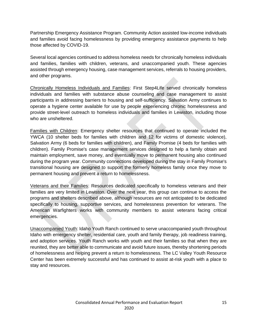Partnership Emergency Assistance Program. Community Action assisted low-income individuals and families avoid facing homelessness by providing emergency assistance payments to help those affected by COVID-19.

Several local agencies continued to address homeless needs for chronically homeless individuals and families, families with children, veterans, and unaccompanied youth. These agencies assisted through emergency housing, case management services, referrals to housing providers, and other programs.

Chronically Homeless Individuals and Families: First Step4Life served chronically homeless individuals and families with substance abuse counseling and case management to assist participants in addressing barriers to housing and self-sufficiency. Salvation Army continues to operate a hygiene center available for use by people experiencing chronic homelessness and provide street-level outreach to homeless individuals and families in Lewiston, including those who are unsheltered.

Families with Children: Emergency shelter resources that continued to operate included the YWCA (10 shelter beds for families with children and 12 for victims of domestic violence), Salvation Army (6 beds for families with children), and Family Promise (4 beds for families with children). Family Promise's case management services designed to help a family obtain and maintain employment, save money, and eventually move to permanent housing also continued during the program year. Community connections developed during the stay in Family Promise's transitional housing are designed to support the formerly homeless family once they move to permanent housing and prevent a return to homelessness.

Veterans and their Families: Resources dedicated specifically to homeless veterans and their families are very limited in Lewiston. Over the next year, this group can continue to access the programs and shelters described above, although resources are not anticipated to be dedicated specifically to housing, supportive services, and homelessness prevention for veterans. The American Warfighters works with community members to assist veterans facing critical emergencies.

Unaccompanied Youth: Idaho Youth Ranch continued to serve unaccompanied youth throughout Idaho with emergency shelter, residential care, youth and family therapy, job readiness training, and adoption services. Youth Ranch works with youth and their families so that when they are reunited, they are better able to communicate and avoid future issues, thereby shortening periods of homelessness and helping prevent a return to homelessness. The LC Valley Youth Resource Center has been extremely successful and has continued to assist at-risk youth with a place to stay and resources.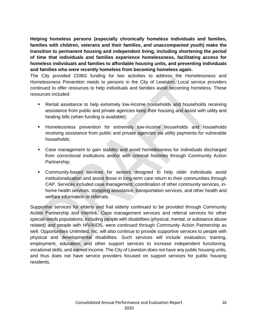**Helping homeless persons (especially chronically homeless individuals and families, families with children, veterans and their families, and unaccompanied youth) make the transition to permanent housing and independent living, including shortening the period of time that individuals and families experience homelessness, facilitating access for homeless individuals and families to affordable housing units, and preventing individuals and families who were recently homeless from becoming homeless again.**

The City provided CDBG funding for two activities to address the Homelessness and Homelessness Prevention needs to persons in the City of Lewiston. Local service providers continued to offer resources to help individuals and families avoid becoming homeless. These resources included:

- Rental assistance to help extremely low-income households and households receiving assistance from public and private agencies keep their housing and assist with utility and heating bills (when funding is available);
- **Homelessness prevention for extremely low-income households and households** receiving assistance from public and private agencies via utility payments for vulnerable households;
- Case management to gain stability and avoid homelessness for individuals discharged from correctional institutions and/or with criminal histories through Community Action Partnership;
- Community-based services for seniors designed to help older individuals avoid institutionalization and assist those in long-term care return to their communities through CAP. Services included case management, coordination of other community services, inhome health services, shopping assistance, transportation services, and other health and welfare information or referrals.

Supportive services for elderly and frail elderly continued to be provided through Community Action Partnership and Interlink. Case management services and referral services for other special needs populations, including people with disabilities (physical, mental, or substance abuse related) and people with HIV/AIDS, were continued through Community Action Partnership as well. Opportunities Unlimited, Inc. will also continue to provide supportive services to people with physical and developmental disabilities. Such services will include evaluation, training, employment, education, and other support services to increase independent functioning, vocational skills, and earned income. The City of Lewiston does not have any public housing units, and thus does not have service providers focused on support services for public housing residents.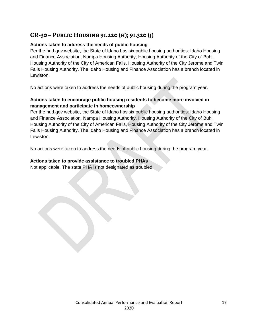# <span id="page-17-0"></span>**CR-30 – Public Housing 91.220 (h); 91.320 (j)**

# **Actions taken to address the needs of public housing**

Per the hud.gov website, the State of Idaho has six public housing authorities: Idaho Housing and Finance Association, Nampa Housing Authority, Housing Authority of the City of Buhl, Housing Authority of the City of American Falls, Housing Authority of the City Jerome and Twin Falls Housing Authority. The Idaho Housing and Finance Association has a branch located in Lewiston.

No actions were taken to address the needs of public housing during the program year.

# **Actions taken to encourage public housing residents to become more involved in management and participate in homeownership**

Per the hud.gov website, the State of Idaho has six public housing authorities: Idaho Housing and Finance Association, Nampa Housing Authority, Housing Authority of the City of Buhl, Housing Authority of the City of American Falls, Housing Authority of the City Jerome and Twin Falls Housing Authority. The Idaho Housing and Finance Association has a branch located in Lewiston.

No actions were taken to address the needs of public housing during the program year.

# **Actions taken to provide assistance to troubled PHAs**

Not applicable. The state PHA is not designated as troubled.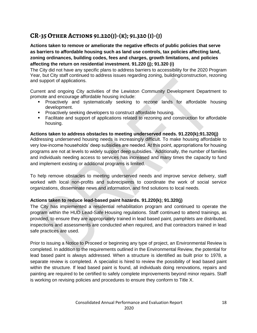# <span id="page-18-0"></span>**CR-35 Other Actions 91.220(j)-(k); 91.320 (i)-(j)**

**Actions taken to remove or ameliorate the negative effects of public policies that serve as barriers to affordable housing such as land use controls, tax policies affecting land, zoning ordinances, building codes, fees and charges, growth limitations, and policies affecting the return on residential investment. 91.220 (j); 91.320 (i)**

The City did not have any specific plans to address barriers to accessibility for the 2020 Program Year, but City staff continued to address issues regarding zoning, building/construction, rezoning and support of applications.

Current and ongoing City activities of the Lewiston Community Development Department to promote and encourage affordable housing include:

- Proactively and systematically seeking to rezone lands for affordable housing development.
- **Proactively seeking developers to construct affordable housing.**
- Facilitate and support of applications related to rezoning and construction for affordable housing.

### **Actions taken to address obstacles to meeting underserved needs. 91.220(k);91.320(j)**

Addressing underserved housing needs is increasingly difficult. To make housing affordable to very low-income households' deep subsidies are needed. At this point, appropriations for housing programs are not at levels to widely support deep subsidies. Additionally, the number of families and individuals needing access to services has increased and many times the capacity to fund and implement existing or additional programs is limited.

To help remove obstacles to meeting underserved needs and improve service delivery, staff worked with local non-profits and subrecipients to coordinate the work of social service organizations, disseminate news and information, and find solutions to local needs.

# **Actions taken to reduce lead-based paint hazards. 91.220(k); 91.320(j)**

The City has implemented a residential rehabilitation program and continued to operate the program within the HUD Lead-Safe Housing regulations. Staff continued to attend trainings, as provided, to ensure they are appropriately trained in lead based paint, pamphlets are distributed, inspections and assessments are conducted when required, and that contractors trained in lead safe practices are used.

Prior to issuing a Notice to Proceed or beginning any type of project, an Environmental Review is completed. In addition to the requirements outlined in the Environmental Review, the potential for lead based paint is always addressed. When a structure is identified as built prior to 1978, a separate review is completed. A specialist is hired to review the possibility of lead based paint within the structure. If lead based paint is found, all individuals doing renovations, repairs and painting are required to be certified to safely complete improvements beyond minor repairs. Staff is working on revising policies and procedures to ensure they conform to Title X.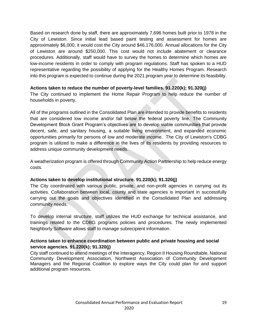Based on research done by staff, there are approximately 7,696 homes built prior to 1978 in the City of Lewiston. Since initial lead based paint testing and assessment for homes are approximately \$6,000, it would cost the City around \$46,176,000. Annual allocations for the City of Lewiston are around \$250,000. This cost would not include abatement or clearance procedures. Additionally, staff would have to survey the homes to determine which homes are low-income residents in order to comply with program regulations. Staff has spoken to a HUD representative regarding the possibility of applying for the Healthy Homes Program. Research into this program is expected to continue during the 2021 program year to determine its feasibility.

### **Actions taken to reduce the number of poverty-level families. 91.220(k); 91.320(j)**

The City continued to implement the Home Repair Program to help reduce the number of households in poverty.

All of the programs outlined in the Consolidated Plan are intended to provide benefits to residents that are considered low income and/or fall below the federal poverty line. The Community Development Block Grant Program's objectives are to develop viable communities that provide decent, safe, and sanitary housing, a suitable living environment, and expanded economic opportunities primarily for persons of low and moderate income. The City of Lewiston's CDBG program is utilized to make a difference in the lives of its residents by providing resources to address unique community development needs.

A weatherization program is offered through Community Action Partnership to help reduce energy costs.

### **Actions taken to develop institutional structure. 91.220(k); 91.320(j)**

The City coordinated with various public, private, and non-profit agencies in carrying out its activities. Collaboration between local, county and state agencies is important in successfully carrying out the goals and objectives identified in the Consolidated Plan and addressing community needs.

To develop internal structure, staff utilizes the HUD exchange for technical assistance, and trainings related to the CDBG programs policies and procedures. The newly implemented Neighborly Software allows staff to manage subrecipient information.

# **Actions taken to enhance coordination between public and private housing and social service agencies. 91.220(k); 91.320(j)**

City staff continued to attend meetings of the Interagency, Region II Housing Roundtable, National Community Development Association, Northwest Association of Community Development Managers and the Regional Coalition to explore ways the City could plan for and support additional program resources.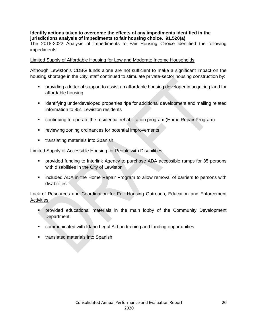# **Identify actions taken to overcome the effects of any impediments identified in the jurisdictions analysis of impediments to fair housing choice. 91.520(a)**

The 2018-2022 Analysis of Impediments to Fair Housing Choice identified the following impediments:

### Limited Supply of Affordable Housing for Low and Moderate Income Households

Although Lewiston's CDBG funds alone are not sufficient to make a significant impact on the housing shortage in the City, staff continued to stimulate private-sector housing construction by:

- providing a letter of support to assist an affordable housing developer in acquiring land for affordable housing
- identifying underdeveloped properties ripe for additional development and mailing related information to 851 Lewiston residents
- continuing to operate the residential rehabilitation program (Home Repair Program)
- **•** reviewing zoning ordinances for potential improvements
- **translating materials into Spanish**

### Limited Supply of Accessible Housing for People with Disabilities

- provided funding to Interlink Agency to purchase ADA accessible ramps for 35 persons with disabilities in the City of Lewiston
- **EXT** included ADA in the Home Repair Program to allow removal of barriers to persons with disabilities

# Lack of Resources and Coordination for Fair Housing Outreach, Education and Enforcement Activities

- **•** provided educational materials in the main lobby of the Community Development **Department**
- communicated with Idaho Legal Aid on training and funding opportunities
- **translated materials into Spanish**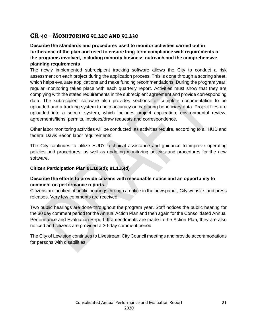# <span id="page-21-0"></span>**CR-40 – Monitoring 91.220 and 91.230**

# **Describe the standards and procedures used to monitor activities carried out in furtherance of the plan and used to ensure long-term compliance with requirements of the programs involved, including minority business outreach and the comprehensive planning requirements**

The newly implemented subrecipient tracking software allows the City to conduct a risk assessment on each project during the application process. This is done through a scoring sheet, which helps evaluate applications and make funding recommendations. During the program year, regular monitoring takes place with each quarterly report. Activities must show that they are complying with the stated requirements in the subrecipient agreement and provide corresponding data. The subrecipient software also provides sections for complete documentation to be uploaded and a tracking system to help accuracy on capturing beneficiary data. Project files are uploaded into a secure system, which includes project application, environmental review, agreements/liens, permits, invoices/draw requests and correspondence.

Other labor monitoring activities will be conducted, as activities require, according to all HUD and federal Davis Bacon labor requirements.

The City continues to utilize HUD's technical assistance and guidance to improve operating policies and procedures, as well as updating monitoring policies and procedures for the new software.

# **Citizen Participation Plan 91.105(d); 91.115(d)**

# **Describe the efforts to provide citizens with reasonable notice and an opportunity to comment on performance reports.**

Citizens are notified of public hearings through a notice in the newspaper, City website, and press releases. Very few comments are received.

Two public hearings are done throughout the program year. Staff notices the public hearing for the 30 day comment period for the Annual Action Plan and then again for the Consolidated Annual Performance and Evaluation Report. If amendments are made to the Action Plan, they are also noticed and citizens are provided a 30-day comment period.

The City of Lewiston continues to Livestream City Council meetings and provide accommodations for persons with disabilities.